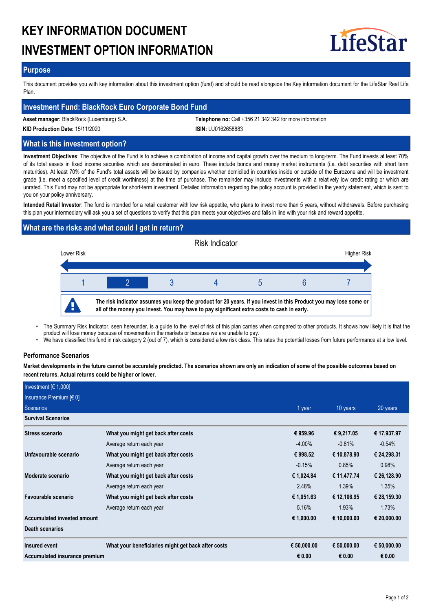# **KEY INFORMATION DOCUMENT INVESTMENT OPTION INFORMATION**



## **Purpose**

This document provides you with key information about this investment option (fund) and should be read alongside the Key information document for the LifeStar Real Life Plan.

# **Investment Fund: BlackRock Euro Corporate Bond Fund**

**Asset manager:** BlackRock (Luxemburg) S.A. **Telephone no:** Call +356 21 342 342 for more information

**KID Production Date:** 15/11/2020 **ISIN:** LU0162658883

**What is this investment option?**

**Investment Objectives**: The objective of the Fund is to achieve a combination of income and capital growth over the medium to long-term. The Fund invests at least 70% of its total assets in fixed income securities which are denominated in euro. These include bonds and money market instruments (i.e. debt securities with short term maturities). At least 70% of the Fund's total assets will be issued by companies whether domiciled in countries inside or outside of the Eurozone and will be investment grade (i.e. meet a specified level of credit worthiness) at the time of purchase. The remainder may include investments with a relatively low credit rating or which are unrated. This Fund may not be appropriate for short-term investment. Detailed information regarding the policy account is provided in the yearly statement, which is sent to you on your policy anniversary.

**Intended Retail Investor**: The fund is intended for a retail customer with low risk appetite, who plans to invest more than 5 years, without withdrawals. Before purchasing this plan your intermediary will ask you a set of questions to verify that this plan meets your objectives and falls in line with your risk and reward appetite.

# **What are the risks and what could I get in return?**



- The Summary Risk Indicator, seen hereunder, is a guide to the level of risk of this plan carries when compared to other products. It shows how likely it is that the product will lose money because of movements in the markets or because we are unable to pay. •
- We have classified this fund in risk category 2 (out of 7), which is considered a low risk class. This rates the potential losses from future performance at a low level.

#### **Performance Scenarios**

**Market developments in the future cannot be accurately predicted. The scenarios shown are only an indication of some of the possible outcomes based on recent returns. Actual returns could be higher or lower.**

| Investment $[6 1,000]$        |                                                    |             |             |             |
|-------------------------------|----------------------------------------------------|-------------|-------------|-------------|
| Insurance Premium $[6 0]$     |                                                    |             |             |             |
| Scenarios                     |                                                    | 1 year      | 10 years    | 20 years    |
| <b>Survival Scenarios</b>     |                                                    |             |             |             |
| <b>Stress scenario</b>        | What you might get back after costs                | € 959.96    | € 9,217.05  | € 17,937.97 |
|                               | Average return each year                           | $-4.00\%$   | $-0.81%$    | $-0.54%$    |
| Unfavourable scenario         | What you might get back after costs                | € 998.52    | € 10,878.90 | € 24,298.31 |
|                               | Average return each year                           | $-0.15%$    | 0.85%       | 0.98%       |
| Moderate scenario             | What you might get back after costs                | € 1,024.84  | € 11,477.74 | € 26,128.90 |
|                               | Average return each year                           | 2.48%       | 1.39%       | 1.35%       |
| Favourable scenario           | What you might get back after costs                | € 1,051.63  | € 12,106.95 | € 28,159.30 |
|                               | Average return each year                           | 5.16%       | 1.93%       | 1.73%       |
| Accumulated invested amount   |                                                    | € 1,000.00  | € 10,000.00 | € 20,000.00 |
| Death scenarios               |                                                    |             |             |             |
| Insured event                 | What your beneficiaries might get back after costs | € 50,000.00 | € 50,000.00 | € 50,000.00 |
| Accumulated insurance premium |                                                    | € $0.00$    | € 0.00      | € 0.00      |